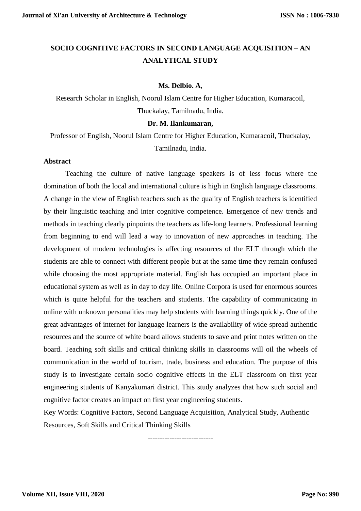# **SOCIO COGNITIVE FACTORS IN SECOND LANGUAGE ACQUISITION – AN ANALYTICAL STUDY**

# **Ms. Delbio. A**,

Research Scholar in English, Noorul Islam Centre for Higher Education, Kumaracoil, Thuckalay, Tamilnadu, India.

# **Dr. M. Ilankumaran,**

Professor of English, Noorul Islam Centre for Higher Education, Kumaracoil, Thuckalay, Tamilnadu, India.

# **Abstract**

Teaching the culture of native language speakers is of less focus where the domination of both the local and international culture is high in English language classrooms. A change in the view of English teachers such as the quality of English teachers is identified by their linguistic teaching and inter cognitive competence. Emergence of new trends and methods in teaching clearly pinpoints the teachers as life-long learners. Professional learning from beginning to end will lead a way to innovation of new approaches in teaching. The development of modern technologies is affecting resources of the ELT through which the students are able to connect with different people but at the same time they remain confused while choosing the most appropriate material. English has occupied an important place in educational system as well as in day to day life. Online Corpora is used for enormous sources which is quite helpful for the teachers and students. The capability of communicating in online with unknown personalities may help students with learning things quickly. One of the great advantages of internet for language learners is the availability of wide spread authentic resources and the source of white board allows students to save and print notes written on the board. Teaching soft skills and critical thinking skills in classrooms will oil the wheels of communication in the world of tourism, trade, business and education. The purpose of this study is to investigate certain socio cognitive effects in the ELT classroom on first year engineering students of Kanyakumari district. This study analyzes that how such social and cognitive factor creates an impact on first year engineering students.

Key Words: Cognitive Factors, Second Language Acquisition, Analytical Study, Authentic Resources, Soft Skills and Critical Thinking Skills

---------------------------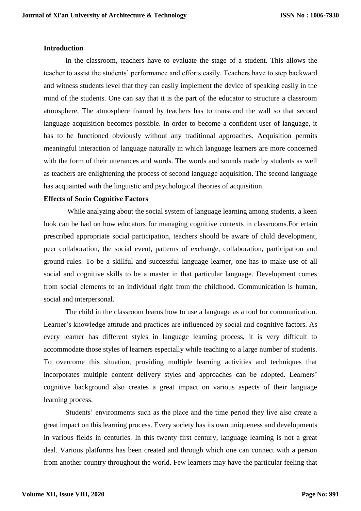# **Introduction**

In the classroom, teachers have to evaluate the stage of a student. This allows the teacher to assist the students' performance and efforts easily. Teachers have to step backward and witness students level that they can easily implement the device of speaking easily in the mind of the students. One can say that it is the part of the educator to structure a classroom atmosphere. The atmosphere framed by teachers has to transcend the wall so that second language acquisition becomes possible. In order to become a confident user of language, it has to be functioned obviously without any traditional approaches. Acquisition permits meaningful interaction of language naturally in which language learners are more concerned with the form of their utterances and words. The words and sounds made by students as well as teachers are enlightening the process of second language acquisition. The second language has acquainted with the linguistic and psychological theories of acquisition.

# **Effects of Socio Cognitive Factors**

While analyzing about the social system of language learning among students, a keen look can be had on how educators for managing cognitive contexts in classrooms.For ertain prescribed appropriate social participation, teachers should be aware of child development, peer collaboration, the social event, patterns of exchange, collaboration, participation and ground rules. To be a skillful and successful language learner, one has to make use of all social and cognitive skills to be a master in that particular language. Development comes from social elements to an individual right from the childhood. Communication is human, social and interpersonal.

The child in the classroom learns how to use a language as a tool for communication. Learner's knowledge attitude and practices are influenced by social and cognitive factors. As every learner has different styles in language learning process, it is very difficult to accommodate those styles of learners especially while teaching to a large number of students. To overcome this situation, providing multiple learning activities and techniques that incorporates multiple content delivery styles and approaches can be adopted. Learners' cognitive background also creates a great impact on various aspects of their language learning process.

Students' environments such as the place and the time period they live also create a great impact on this learning process. Every society has its own uniqueness and developments in various fields in centuries. In this twenty first century, language learning is not a great deal. Various platforms has been created and through which one can connect with a person from another country throughout the world. Few learners may have the particular feeling that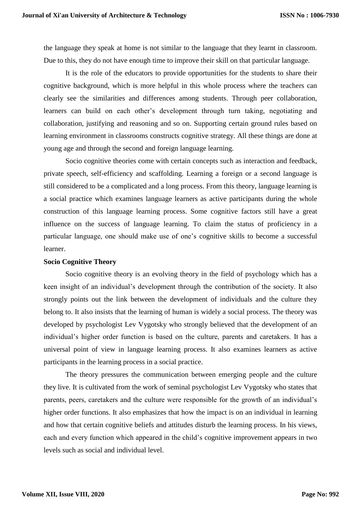the language they speak at home is not similar to the language that they learnt in classroom. Due to this, they do not have enough time to improve their skill on that particular language.

It is the role of the educators to provide opportunities for the students to share their cognitive background, which is more helpful in this whole process where the teachers can clearly see the similarities and differences among students. Through peer collaboration, learners can build on each other's development through turn taking, negotiating and collaboration, justifying and reasoning and so on. Supporting certain ground rules based on learning environment in classrooms constructs cognitive strategy. All these things are done at young age and through the second and foreign language learning.

Socio cognitive theories come with certain concepts such as interaction and feedback, private speech, self-efficiency and scaffolding. Learning a foreign or a second language is still considered to be a complicated and a long process. From this theory, language learning is a social practice which examines language learners as active participants during the whole construction of this language learning process. Some cognitive factors still have a great influence on the success of language learning. To claim the status of proficiency in a particular language, one should make use of one's cognitive skills to become a successful learner.

#### **Socio Cognitive Theory**

Socio cognitive theory is an evolving theory in the field of psychology which has a keen insight of an individual's development through the contribution of the society. It also strongly points out the link between the development of individuals and the culture they belong to. It also insists that the learning of human is widely a social process. The theory was developed by psychologist Lev Vygotsky who strongly believed that the development of an individual's higher order function is based on the culture, parents and caretakers. It has a universal point of view in language learning process. It also examines learners as active participants in the learning process in a social practice.

The theory pressures the communication between emerging people and the culture they live. It is cultivated from the work of seminal psychologist Lev Vygotsky who states that parents, peers, caretakers and the culture were responsible for the growth of an individual's higher order functions. It also emphasizes that how the impact is on an individual in learning and how that certain cognitive beliefs and attitudes disturb the learning process. In his views, each and every function which appeared in the child's cognitive improvement appears in two levels such as social and individual level.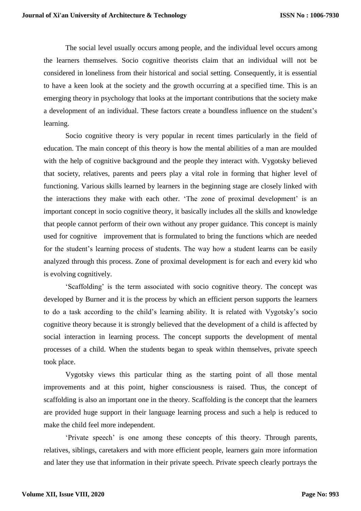The social level usually occurs among people, and the individual level occurs among the learners themselves. Socio cognitive theorists claim that an individual will not be considered in loneliness from their historical and social setting. Consequently, it is essential to have a keen look at the society and the growth occurring at a specified time. This is an emerging theory in psychology that looks at the important contributions that the society make a development of an individual. These factors create a boundless influence on the student's learning.

Socio cognitive theory is very popular in recent times particularly in the field of education. The main concept of this theory is how the mental abilities of a man are moulded with the help of cognitive background and the people they interact with. Vygotsky believed that society, relatives, parents and peers play a vital role in forming that higher level of functioning. Various skills learned by learners in the beginning stage are closely linked with the interactions they make with each other. 'The zone of proximal development' is an important concept in socio cognitive theory, it basically includes all the skills and knowledge that people cannot perform of their own without any proper guidance. This concept is mainly used for cognitive improvement that is formulated to bring the functions which are needed for the student's learning process of students. The way how a student learns can be easily analyzed through this process. Zone of proximal development is for each and every kid who is evolving cognitively.

'Scaffolding' is the term associated with socio cognitive theory. The concept was developed by Burner and it is the process by which an efficient person supports the learners to do a task according to the child's learning ability. It is related with Vygotsky's socio cognitive theory because it is strongly believed that the development of a child is affected by social interaction in learning process. The concept supports the development of mental processes of a child. When the students began to speak within themselves, private speech took place.

Vygotsky views this particular thing as the starting point of all those mental improvements and at this point, higher consciousness is raised. Thus, the concept of scaffolding is also an important one in the theory. Scaffolding is the concept that the learners are provided huge support in their language learning process and such a help is reduced to make the child feel more independent.

'Private speech' is one among these concepts of this theory. Through parents, relatives, siblings, caretakers and with more efficient people, learners gain more information and later they use that information in their private speech. Private speech clearly portrays the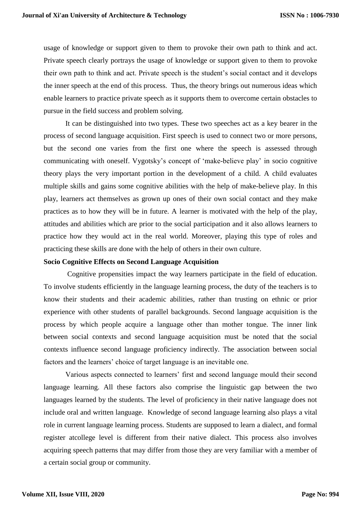usage of knowledge or support given to them to provoke their own path to think and act. Private speech clearly portrays the usage of knowledge or support given to them to provoke their own path to think and act. Private speech is the student's social contact and it develops the inner speech at the end of this process. Thus, the theory brings out numerous ideas which enable learners to practice private speech as it supports them to overcome certain obstacles to pursue in the field success and problem solving.

It can be distinguished into two types. These two speeches act as a key bearer in the process of second language acquisition. First speech is used to connect two or more persons, but the second one varies from the first one where the speech is assessed through communicating with oneself. Vygotsky's concept of 'make-believe play' in socio cognitive theory plays the very important portion in the development of a child. A child evaluates multiple skills and gains some cognitive abilities with the help of make-believe play. In this play, learners act themselves as grown up ones of their own social contact and they make practices as to how they will be in future. A learner is motivated with the help of the play, attitudes and abilities which are prior to the social participation and it also allows learners to practice how they would act in the real world. Moreover, playing this type of roles and practicing these skills are done with the help of others in their own culture.

#### **Socio Cognitive Effects on Second Language Acquisition**

Cognitive propensities impact the way learners participate in the field of education. To involve students efficiently in the language learning process, the duty of the teachers is to know their students and their academic abilities, rather than trusting on ethnic or prior experience with other students of parallel backgrounds. Second language acquisition is the process by which people acquire a language other than mother tongue. The inner link between social contexts and second language acquisition must be noted that the social contexts influence second language proficiency indirectly. The association between social factors and the learners' choice of target language is an inevitable one.

Various aspects connected to learners' first and second language mould their second language learning. All these factors also comprise the linguistic gap between the two languages learned by the students. The level of proficiency in their native language does not include oral and written language. Knowledge of second language learning also plays a vital role in current language learning process. Students are supposed to learn a dialect, and formal register atcollege level is different from their native dialect. This process also involves acquiring speech patterns that may differ from those they are very familiar with a member of a certain social group or community.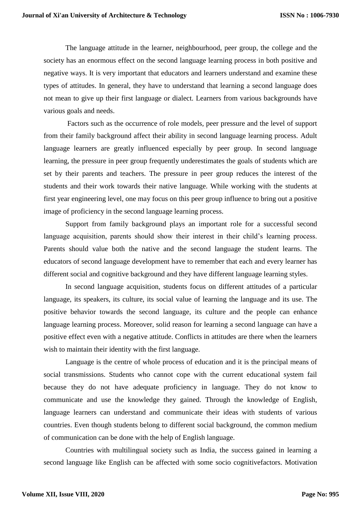The language attitude in the learner, neighbourhood, peer group, the college and the society has an enormous effect on the second language learning process in both positive and negative ways. It is very important that educators and learners understand and examine these types of attitudes. In general, they have to understand that learning a second language does not mean to give up their first language or dialect. Learners from various backgrounds have various goals and needs.

Factors such as the occurrence of role models, peer pressure and the level of support from their family background affect their ability in second language learning process. Adult language learners are greatly influenced especially by peer group. In second language learning, the pressure in peer group frequently underestimates the goals of students which are set by their parents and teachers. The pressure in peer group reduces the interest of the students and their work towards their native language. While working with the students at first year engineering level, one may focus on this peer group influence to bring out a positive image of proficiency in the second language learning process.

Support from family background plays an important role for a successful second language acquisition, parents should show their interest in their child's learning process. Parents should value both the native and the second language the student learns. The educators of second language development have to remember that each and every learner has different social and cognitive background and they have different language learning styles.

In second language acquisition, students focus on different attitudes of a particular language, its speakers, its culture, its social value of learning the language and its use. The positive behavior towards the second language, its culture and the people can enhance language learning process. Moreover, solid reason for learning a second language can have a positive effect even with a negative attitude. Conflicts in attitudes are there when the learners wish to maintain their identity with the first language.

Language is the centre of whole process of education and it is the principal means of social transmissions. Students who cannot cope with the current educational system fail because they do not have adequate proficiency in language. They do not know to communicate and use the knowledge they gained. Through the knowledge of English, language learners can understand and communicate their ideas with students of various countries. Even though students belong to different social background, the common medium of communication can be done with the help of English language.

Countries with multilingual society such as India, the success gained in learning a second language like English can be affected with some socio cognitivefactors. Motivation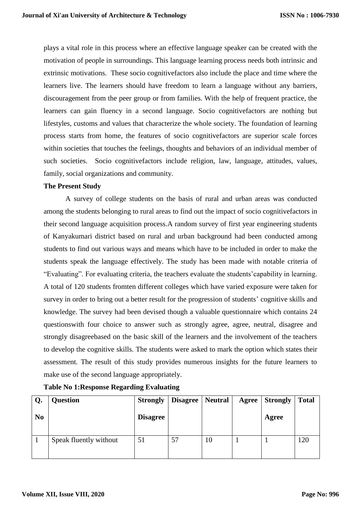plays a vital role in this process where an effective language speaker can be created with the motivation of people in surroundings. This language learning process needs both intrinsic and extrinsic motivations. These socio cognitivefactors also include the place and time where the learners live. The learners should have freedom to learn a language without any barriers, discouragement from the peer group or from families. With the help of frequent practice, the learners can gain fluency in a second language. Socio cognitivefactors are nothing but lifestyles, customs and values that characterize the whole society. The foundation of learning process starts from home, the features of socio cognitivefactors are superior scale forces within societies that touches the feelings, thoughts and behaviors of an individual member of such societies. Socio cognitivefactors include religion, law, language, attitudes, values, family, social organizations and community.

# **The Present Study**

A survey of college students on the basis of rural and urban areas was conducted among the students belonging to rural areas to find out the impact of socio cognitivefactors in their second language acquisition process.A random survey of first year engineering students of Kanyakumari district based on rural and urban background had been conducted among students to find out various ways and means which have to be included in order to make the students speak the language effectively. The study has been made with notable criteria of "Evaluating". For evaluating criteria, the teachers evaluate the students'capability in learning. A total of 120 students fromten different colleges which have varied exposure were taken for survey in order to bring out a better result for the progression of students' cognitive skills and knowledge. The survey had been devised though a valuable questionnaire which contains 24 questionswith four choice to answer such as strongly agree, agree, neutral, disagree and strongly disagreebased on the basic skill of the learners and the involvement of the teachers to develop the cognitive skills. The students were asked to mark the option which states their assessment. The result of this study provides numerous insights for the future learners to make use of the second language appropriately.

| Q.             | <b>Question</b>        |                 | <b>Strongly   Disagree  </b> | Neutral | Agree | <b>Strongly</b> | <b>Total</b> |
|----------------|------------------------|-----------------|------------------------------|---------|-------|-----------------|--------------|
| N <sub>0</sub> |                        | <b>Disagree</b> |                              |         |       | Agree           |              |
|                | Speak fluently without | 51              | 57                           | 10      |       |                 | 120          |

**Table No 1:Response Regarding Evaluating**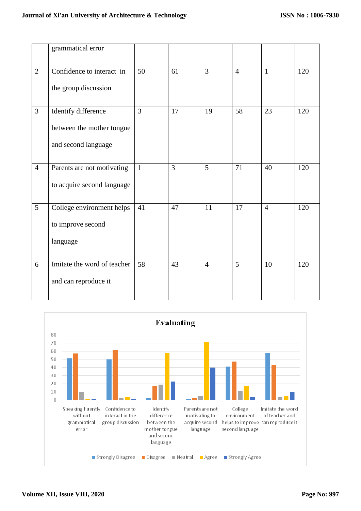|                | grammatical error           |                 |                |                |                |                |     |
|----------------|-----------------------------|-----------------|----------------|----------------|----------------|----------------|-----|
| $\overline{2}$ | Confidence to interact in   | 50              | 61             | $\overline{3}$ | $\overline{4}$ | $\mathbf{1}$   | 120 |
|                | the group discussion        |                 |                |                |                |                |     |
| 3              | Identify difference         | 3               | 17             | 19             | 58             | 23             | 120 |
|                | between the mother tongue   |                 |                |                |                |                |     |
|                | and second language         |                 |                |                |                |                |     |
| $\overline{4}$ | Parents are not motivating  | $\mathbf{1}$    | $\overline{3}$ | 5              | 71             | 40             | 120 |
|                | to acquire second language  |                 |                |                |                |                |     |
| 5              | College environment helps   | 41              | 47             | 11             | 17             | $\overline{4}$ | 120 |
|                | to improve second           |                 |                |                |                |                |     |
|                | language                    |                 |                |                |                |                |     |
| 6              | Imitate the word of teacher | $\overline{58}$ | 43             | $\overline{4}$ | $\overline{5}$ | 10             | 120 |
|                | and can reproduce it        |                 |                |                |                |                |     |

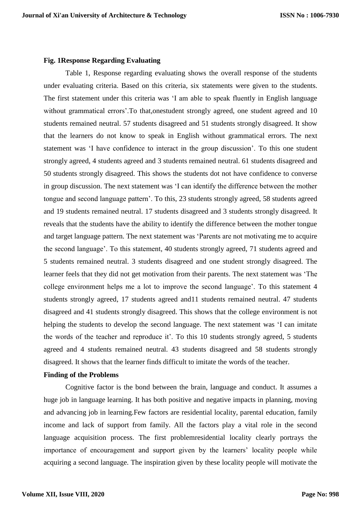#### **Fig. 1Response Regarding Evaluating**

Table 1, Response regarding evaluating shows the overall response of the students under evaluating criteria. Based on this criteria, six statements were given to the students. The first statement under this criteria was 'I am able to speak fluently in English language without grammatical errors'.To that,onestudent strongly agreed, one student agreed and 10 students remained neutral. 57 students disagreed and 51 students strongly disagreed. It show that the learners do not know to speak in English without grammatical errors. The next statement was 'I have confidence to interact in the group discussion'. To this one student strongly agreed, 4 students agreed and 3 students remained neutral. 61 students disagreed and 50 students strongly disagreed. This shows the students dot not have confidence to converse in group discussion. The next statement was 'I can identify the difference between the mother tongue and second language pattern'. To this, 23 students strongly agreed, 58 students agreed and 19 students remained neutral. 17 students disagreed and 3 students strongly disagreed. It reveals that the students have the ability to identify the difference between the mother tongue and target language pattern. The next statement was 'Parents are not motivating me to acquire the second language'. To this statement, 40 students strongly agreed, 71 students agreed and 5 students remained neutral. 3 students disagreed and one student strongly disagreed. The learner feels that they did not get motivation from their parents. The next statement was 'The college environment helps me a lot to improve the second language'. To this statement 4 students strongly agreed, 17 students agreed and11 students remained neutral. 47 students disagreed and 41 students strongly disagreed. This shows that the college environment is not helping the students to develop the second language. The next statement was 'I can imitate the words of the teacher and reproduce it'. To this 10 students strongly agreed, 5 students agreed and 4 students remained neutral. 43 students disagreed and 58 students strongly disagreed. It shows that the learner finds difficult to imitate the words of the teacher.

# **Finding of the Problems**

Cognitive factor is the bond between the brain, language and conduct. It assumes a huge job in language learning. It has both positive and negative impacts in planning, moving and advancing job in learning.Few factors are residential locality, parental education, family income and lack of support from family. All the factors play a vital role in the second language acquisition process. The first problemresidential locality clearly portrays the importance of encouragement and support given by the learners' locality people while acquiring a second language. The inspiration given by these locality people will motivate the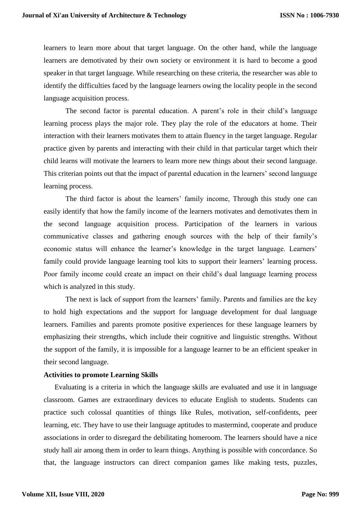learners to learn more about that target language. On the other hand, while the language learners are demotivated by their own society or environment it is hard to become a good speaker in that target language. While researching on these criteria, the researcher was able to identify the difficulties faced by the language learners owing the locality people in the second language acquisition process.

The second factor is parental education. A parent's role in their child's language learning process plays the major role. They play the role of the educators at home. Their interaction with their learners motivates them to attain fluency in the target language. Regular practice given by parents and interacting with their child in that particular target which their child learns will motivate the learners to learn more new things about their second language. This criterian points out that the impact of parental education in the learners' second language learning process.

The third factor is about the learners' family income, Through this study one can easily identify that how the family income of the learners motivates and demotivates them in the second language acquisition process. Participation of the learners in various communicative classes and gathering enough sources with the help of their family's economic status will enhance the learner's knowledge in the target language. Learners' family could provide language learning tool kits to support their learners' learning process. Poor family income could create an impact on their child's dual language learning process which is analyzed in this study.

The next is lack of support from the learners' family. Parents and families are the key to hold high expectations and the support for language development for dual language learners. Families and parents promote positive experiences for these language learners by emphasizing their strengths, which include their cognitive and linguistic strengths. Without the support of the family, it is impossible for a language learner to be an efficient speaker in their second language.

#### **Activities to promote Learning Skills**

Evaluating is a criteria in which the language skills are evaluated and use it in language classroom. Games are extraordinary devices to educate English to students. Students can practice such colossal quantities of things like Rules, motivation, self-confidents, peer learning, etc. They have to use their language aptitudes to mastermind, cooperate and produce associations in order to disregard the debilitating homeroom. The learners should have a nice study hall air among them in order to learn things. Anything is possible with concordance. So that, the language instructors can direct companion games like making tests, puzzles,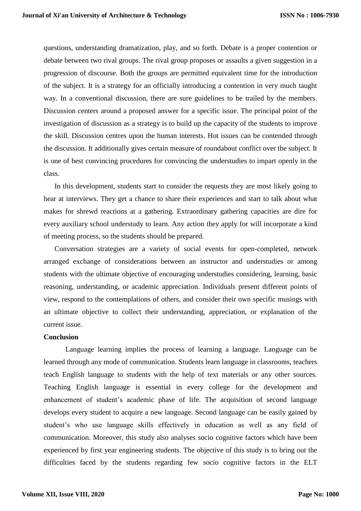questions, understanding dramatization, play, and so forth. Debate is a proper contention or debate between two rival groups. The rival group proposes or assaults a given suggestion in a progression of discourse. Both the groups are permitted equivalent time for the introduction of the subject. It is a strategy for an officially introducing a contention in very much taught way. In a conventional discussion, there are sure guidelines to be trailed by the members. Discussion centers around a proposed answer for a specific issue. The principal point of the investigation of discussion as a strategy is to build up the capacity of the students to improve the skill. Discussion centres upon the human interests. Hot issues can be contended through the discussion. It additionally gives certain measure of roundabout conflict over the subject. It is one of best convincing procedures for convincing the understudies to impart openly in the class.

In this development, students start to consider the requests they are most likely going to hear at interviews. They get a chance to share their experiences and start to talk about what makes for shrewd reactions at a gathering. Extraordinary gathering capacities are dire for every auxiliary school understudy to learn. Any action they apply for will incorporate a kind of meeting process, so the students should be prepared.

Conversation strategies are a variety of social events for open-completed, network arranged exchange of considerations between an instructor and understudies or among students with the ultimate objective of encouraging understudies considering, learning, basic reasoning, understanding, or academic appreciation. Individuals present different points of view, respond to the contemplations of others, and consider their own specific musings with an ultimate objective to collect their understanding, appreciation, or explanation of the current issue.

#### **Conclusion**

Language learning implies the process of learning a language. Language can be learned through any mode of communication. Students learn language in classrooms, teachers teach English language to students with the help of text materials or any other sources. Teaching English language is essential in every college for the development and enhancement of student's academic phase of life. The acquisition of second language develops every student to acquire a new language. Second language can be easily gained by student's who use language skills effectively in education as well as any field of communication. Moreover, this study also analyses socio cognitive factors which have been experienced by first year engineering students. The objective of this study is to bring out the difficulties faced by the students regarding few socio cognitive factors in the ELT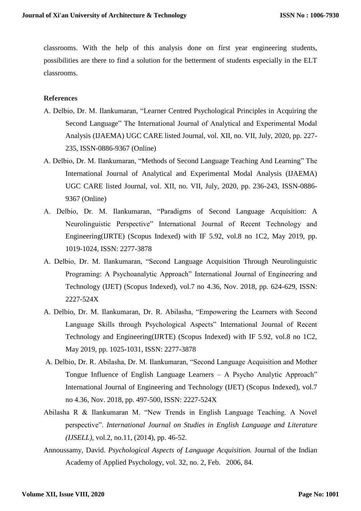classrooms. With the help of this analysis done on first year engineering students, possibilities are there to find a solution for the betterment of students especially in the ELT classrooms.

# **References**

- A. Delbio, Dr. M. Ilankumaran, "Learner Centred Psychological Principles in Acquiring the Second Language" The International Journal of Analytical and Experimental Modal Analysis (IJAEMA) UGC CARE listed Journal, vol. XII, no. VII, July, 2020, pp. 227- 235, ISSN-0886-9367 (Online)
- A. Delbio, Dr. M. Ilankumaran, "Methods of Second Language Teaching And Learning" The International Journal of Analytical and Experimental Modal Analysis (IJAEMA) UGC CARE listed Journal, vol. XII, no. VII, July, 2020, pp. 236-243, ISSN-0886- 9367 (Online)
- A. Delbio, Dr. M. Ilankumaran, "Paradigms of Second Language Acquisition: A Neurolinguistic Perspective" International Journal of Recent Technology and Engineering(IJRTE) (Scopus Indexed) with IF 5.92, vol.8 no 1C2, May 2019, pp. 1019-1024, ISSN: 2277-3878
- A. Delbio, Dr. M. Ilankumaran, "Second Language Acquisition Through Neurolinguistic Programing: A Psychoanalytic Approach" International Journal of Engineering and Technology (IJET) (Scopus Indexed), vol.7 no 4.36, Nov. 2018, pp. 624-629, ISSN: 2227-524X
- A. Delbio, Dr. M. Ilankumaran, Dr. R. Abilasha, "Empowering the Learners with Second Language Skills through Psychological Aspects" International Journal of Recent Technology and Engineering(IJRTE) (Scopus Indexed) with IF 5.92, vol.8 no 1C2, May 2019, pp. 1025-1031, ISSN: 2277-3878
- A. Delbio, Dr. R. Abilasha, Dr. M. Ilankumaran, "Second Language Acquisition and Mother Tongue Influence of English Language Learners – A Psycho Analytic Approach" International Journal of Engineering and Technology (IJET) (Scopus Indexed), vol.7 no 4.36, Nov. 2018, pp. 497-500, ISSN: 2227-524X
- Abilasha R & Ilankumaran M. "New Trends in English Language Teaching. A Novel perspective". *International Journal on Studies in English Language and Literature (IJSELL)*, vol.2, no.11, (2014), pp. 46-52.
- Annoussamy, David. *Psychological Aspects of Language Acquisition.* Journal of the Indian Academy of Applied Psychology, vol. 32, no. 2, Feb. 2006, 84.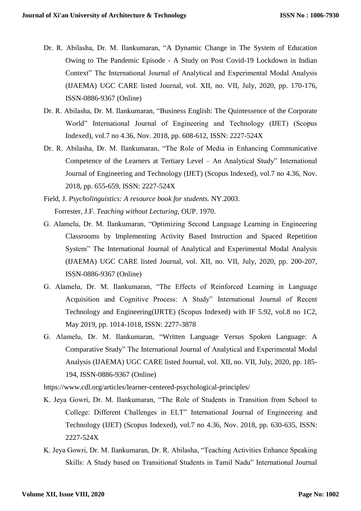- Dr. R. Abilasha, Dr. M. Ilankumaran, "A Dynamic Change in The System of Education Owing to The Pandemic Episode - A Study on Post Covid-19 Lockdown in Indian Context" The International Journal of Analytical and Experimental Modal Analysis (IJAEMA) UGC CARE listed Journal, vol. XII, no. VII, July, 2020, pp. 170-176, ISSN-0886-9367 (Online)
- Dr. R. Abilasha, Dr. M. Ilankumaran, "Business English: The Quintessence of the Corporate World" International Journal of Engineering and Technology (IJET) (Scopus Indexed), vol.7 no 4.36, Nov. 2018, pp. 608-612, ISSN: 2227-524X
- Dr. R. Abilasha, Dr. M. Ilankumaran, "The Role of Media in Enhancing Communicative Competence of the Learners at Tertiary Level – An Analytical Study" International Journal of Engineering and Technology (IJET) (Scopus Indexed), vol.7 no 4.36, Nov. 2018, pp. 655-659, ISSN: 2227-524X
- Field, J. *Psycholinguistics: A resource book for students.* NY.2003. Forrester, J.F. *Teaching without Lecturing,* OUP. 1970.
- G. Alamelu, Dr. M. Ilankumaran, "Optimizing Second Language Learning in Engineering Classrooms by Implementing Activity Based Instruction and Spaced Repetition System" The International Journal of Analytical and Experimental Modal Analysis (IJAEMA) UGC CARE listed Journal, vol. XII, no. VII, July, 2020, pp. 200-207, ISSN-0886-9367 (Online)
- G. Alamelu, Dr. M. Ilankumaran, "The Effects of Reinforced Learning in Language Acquisition and Cognitive Process: A Study" International Journal of Recent Technology and Engineering(IJRTE) (Scopus Indexed) with IF 5.92, vol.8 no 1C2, May 2019, pp. 1014-1018, ISSN: 2277-3878
- G. Alamelu, Dr. M. Ilankumaran, "Written Language Versus Spoken Language: A Comparative Study" The International Journal of Analytical and Experimental Modal Analysis (IJAEMA) UGC CARE listed Journal, vol. XII, no. VII, July, 2020, pp. 185- 194, ISSN-0886-9367 (Online)

https://www.cdl.org/articles/learner-centered-psychological-principles/

- K. Jeya Gowri, Dr. M. Ilankumaran, "The Role of Students in Transition from School to College: Different Challenges in ELT" International Journal of Engineering and Technology (IJET) (Scopus Indexed), vol.7 no 4.36, Nov. 2018, pp. 630-635, ISSN: 2227-524X
- K. Jeya Gowri, Dr. M. Ilankumaran, Dr. R. Abilasha, "Teaching Activities Enhance Speaking Skills: A Study based on Transitional Students in Tamil Nadu" International Journal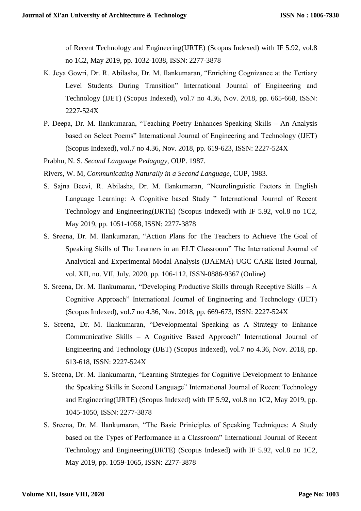of Recent Technology and Engineering(IJRTE) (Scopus Indexed) with IF 5.92, vol.8 no 1C2, May 2019, pp. 1032-1038, ISSN: 2277-3878

- K. Jeya Gowri, Dr. R. Abilasha, Dr. M. Ilankumaran, "Enriching Cognizance at the Tertiary Level Students During Transition" International Journal of Engineering and Technology (IJET) (Scopus Indexed), vol.7 no 4.36, Nov. 2018, pp. 665-668, ISSN: 2227-524X
- P. Deepa, Dr. M. Ilankumaran, "Teaching Poetry Enhances Speaking Skills An Analysis based on Select Poems" International Journal of Engineering and Technology (IJET) (Scopus Indexed), vol.7 no 4.36, Nov. 2018, pp. 619-623, ISSN: 2227-524X
- Prabhu, N. S. *Second Language Pedagogy,* OUP. 1987.
- Rivers, W. M, *Communicating Naturally in a Second Language*, CUP, 1983.
- S. Sajna Beevi, R. Abilasha, Dr. M. Ilankumaran, "Neurolinguistic Factors in English Language Learning: A Cognitive based Study " International Journal of Recent Technology and Engineering(IJRTE) (Scopus Indexed) with IF 5.92, vol.8 no 1C2, May 2019, pp. 1051-1058, ISSN: 2277-3878
- S. Sreena, Dr. M. Ilankumaran, "Action Plans for The Teachers to Achieve The Goal of Speaking Skills of The Learners in an ELT Classroom" The International Journal of Analytical and Experimental Modal Analysis (IJAEMA) UGC CARE listed Journal, vol. XII, no. VII, July, 2020, pp. 106-112, ISSN-0886-9367 (Online)
- S. Sreena, Dr. M. Ilankumaran, "Developing Productive Skills through Receptive Skills A Cognitive Approach" International Journal of Engineering and Technology (IJET) (Scopus Indexed), vol.7 no 4.36, Nov. 2018, pp. 669-673, ISSN: 2227-524X
- S. Sreena, Dr. M. Ilankumaran, "Developmental Speaking as A Strategy to Enhance Communicative Skills – A Cognitive Based Approach" International Journal of Engineering and Technology (IJET) (Scopus Indexed), vol.7 no 4.36, Nov. 2018, pp. 613-618, ISSN: 2227-524X
- S. Sreena, Dr. M. Ilankumaran, "Learning Strategies for Cognitive Development to Enhance the Speaking Skills in Second Language" International Journal of Recent Technology and Engineering(IJRTE) (Scopus Indexed) with IF 5.92, vol.8 no 1C2, May 2019, pp. 1045-1050, ISSN: 2277-3878
- S. Sreena, Dr. M. Ilankumaran, "The Basic Priniciples of Speaking Techniques: A Study based on the Types of Performance in a Classroom" International Journal of Recent Technology and Engineering(IJRTE) (Scopus Indexed) with IF 5.92, vol.8 no 1C2, May 2019, pp. 1059-1065, ISSN: 2277-3878